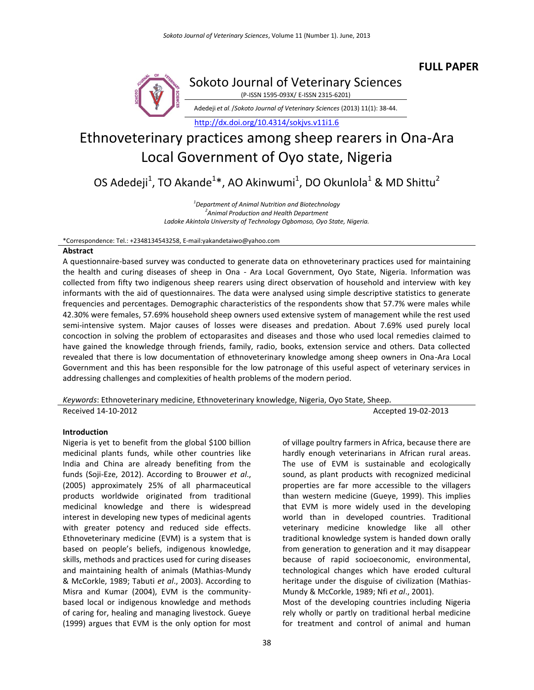

Sokoto Journal of Veterinary Sciences (P-ISSN 1595-093X/ E-ISSN 2315-6201)

Adedeji *et al*. /*Sokoto Journal of Veterinary Sciences* (2013) 11(1): 38-44.

<http://dx.doi.org/10.4314/sokjvs.v11i1.6>

# Ethnoveterinary practices among sheep rearers in Ona-Ara Local Government of Oyo state, Nigeria

OS Adedeji<sup>1</sup>, TO Akande<sup>1</sup>\*, AO Akinwumi<sup>1</sup>, DO Okunlola<sup>1</sup> & MD Shittu<sup>2</sup>

*1 Department of Animal Nutrition and Biotechnology 2 Animal Production and Health Department Ladoke Akintola University of Technology Ogbomoso, Oyo State, Nigeria.*

\*Correspondence: Tel.: +2348134543258, E-mail:yakandetaiwo@yahoo.com

#### **Abstract**

A questionnaire-based survey was conducted to generate data on ethnoveterinary practices used for maintaining the health and curing diseases of sheep in Ona - Ara Local Government, Oyo State, Nigeria. Information was collected from fifty two indigenous sheep rearers using direct observation of household and interview with key informants with the aid of questionnaires. The data were analysed using simple descriptive statistics to generate frequencies and percentages. Demographic characteristics of the respondents show that 57.7% were males while 42.30% were females, 57.69% household sheep owners used extensive system of management while the rest used semi-intensive system. Major causes of losses were diseases and predation. About 7.69% used purely local concoction in solving the problem of ectoparasites and diseases and those who used local remedies claimed to have gained the knowledge through friends, family, radio, books, extension service and others. Data collected revealed that there is low documentation of ethnoveterinary knowledge among sheep owners in Ona-Ara Local Government and this has been responsible for the low patronage of this useful aspect of veterinary services in addressing challenges and complexities of health problems of the modern period.

*Keywords*: Ethnoveterinary medicine, Ethnoveterinary knowledge, Nigeria, Oyo State, Sheep**.**

Received 14-10-2012 Accepted 19-02-2013

## **Introduction**

Nigeria is yet to benefit from the global \$100 billion medicinal plants funds, while other countries like India and China are already benefiting from the funds (Soji-Eze, 2012). According to Brouwer *et al*., (2005) approximately 25% of all pharmaceutical products worldwide originated from traditional medicinal knowledge and there is widespread interest in developing new types of medicinal agents with greater potency and reduced side effects. Ethnoveterinary medicine (EVM) is a system that is based on people's beliefs, indigenous knowledge, skills, methods and practices used for curing diseases and maintaining health of animals (Mathias-Mundy & McCorkle, 1989; Tabuti *et al*., 2003). According to Misra and Kumar (2004), EVM is the communitybased local or indigenous knowledge and methods of caring for, healing and managing livestock. Gueye (1999) argues that EVM is the only option for most

of village poultry farmers in Africa, because there are hardly enough veterinarians in African rural areas. The use of EVM is sustainable and ecologically sound, as plant products with recognized medicinal properties are far more accessible to the villagers than western medicine (Gueye, 1999). This implies that EVM is more widely used in the developing world than in developed countries. Traditional veterinary medicine knowledge like all other traditional knowledge system is handed down orally from generation to generation and it may disappear because of rapid socioeconomic, environmental, technological changes which have eroded cultural heritage under the disguise of civilization (Mathias-Mundy & McCorkle, 1989; Nfi *et al*., 2001).

Most of the developing countries including Nigeria rely wholly or partly on traditional herbal medicine for treatment and control of animal and human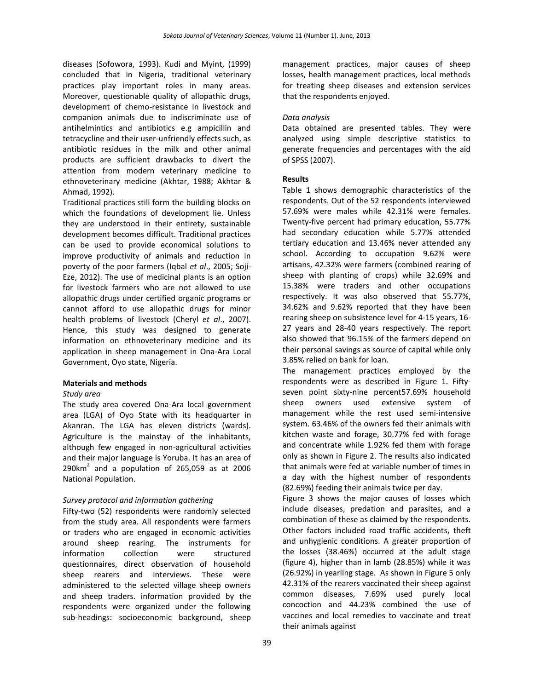diseases (Sofowora, 1993). Kudi and Myint, (1999) concluded that in Nigeria, traditional veterinary practices play important roles in many areas. Moreover, questionable quality of allopathic drugs, development of chemo-resistance in livestock and companion animals due to indiscriminate use of antihelmintics and antibiotics e.g ampicillin and tetracycline and their user-unfriendly effects such, as antibiotic residues in the milk and other animal products are sufficient drawbacks to divert the attention from modern veterinary medicine to ethnoveterinary medicine (Akhtar, 1988; Akhtar & Ahmad, 1992).

Traditional practices still form the building blocks on which the foundations of development lie. Unless they are understood in their entirety, sustainable development becomes difficult. Traditional practices can be used to provide economical solutions to improve productivity of animals and reduction in poverty of the poor farmers (Iqbal *et al*., 2005; Soji-Eze, 2012). The use of medicinal plants is an option for livestock farmers who are not allowed to use allopathic drugs under certified organic programs or cannot afford to use allopathic drugs for minor health problems of livestock (Cheryl *et al*., 2007). Hence, this study was designed to generate information on ethnoveterinary medicine and its application in sheep management in Ona-Ara Local Government, Oyo state, Nigeria.

## **Materials and methods**

## *Study area*

The study area covered Ona-Ara local government area (LGA) of Oyo State with its headquarter in Akanran. The LGA has eleven districts (wards). Agriculture is the mainstay of the inhabitants, although few engaged in non-agricultural activities and their major language is Yoruba. It has an area of  $290$ km<sup>2</sup> and a population of 265,059 as at 2006 National Population.

# *Survey protocol and information gathering*

Fifty-two (52) respondents were randomly selected from the study area. All respondents were farmers or traders who are engaged in economic activities around sheep rearing. The instruments for information collection were structured questionnaires, direct observation of household sheep rearers and interviews. These were administered to the selected village sheep owners and sheep traders. information provided by the respondents were organized under the following sub-headings: socioeconomic background, sheep management practices, major causes of sheep losses, health management practices, local methods for treating sheep diseases and extension services that the respondents enjoyed.

# *Data analysis*

Data obtained are presented tables. They were analyzed using simple descriptive statistics to generate frequencies and percentages with the aid of SPSS (2007).

## **Results**

Table 1 shows demographic characteristics of the respondents. Out of the 52 respondents interviewed 57.69% were males while 42.31% were females. Twenty-five percent had primary education, 55.77% had secondary education while 5.77% attended tertiary education and 13.46% never attended any school. According to occupation 9.62% were artisans, 42.32% were farmers (combined rearing of sheep with planting of crops) while 32.69% and 15.38% were traders and other occupations respectively. It was also observed that 55.77%, 34.62% and 9.62% reported that they have been rearing sheep on subsistence level for 4-15 years, 16- 27 years and 28-40 years respectively. The report also showed that 96.15% of the farmers depend on their personal savings as source of capital while only 3.85% relied on bank for loan.

The management practices employed by the respondents were as described in Figure 1. Fiftyseven point sixty-nine percent57.69% household sheep owners used extensive system of management while the rest used semi-intensive system. 63.46% of the owners fed their animals with kitchen waste and forage, 30.77% fed with forage and concentrate while 1.92% fed them with forage only as shown in Figure 2. The results also indicated that animals were fed at variable number of times in a day with the highest number of respondents (82.69%) feeding their animals twice per day.

Figure 3 shows the major causes of losses which include diseases, predation and parasites, and a combination of these as claimed by the respondents. Other factors included road traffic accidents, theft and unhygienic conditions. A greater proportion of the losses (38.46%) occurred at the adult stage (figure 4), higher than in lamb (28.85%) while it was (26.92%) in yearling stage. As shown in Figure 5 only 42.31% of the rearers vaccinated their sheep against common diseases, 7.69% used purely local concoction and 44.23% combined the use of vaccines and local remedies to vaccinate and treat their animals against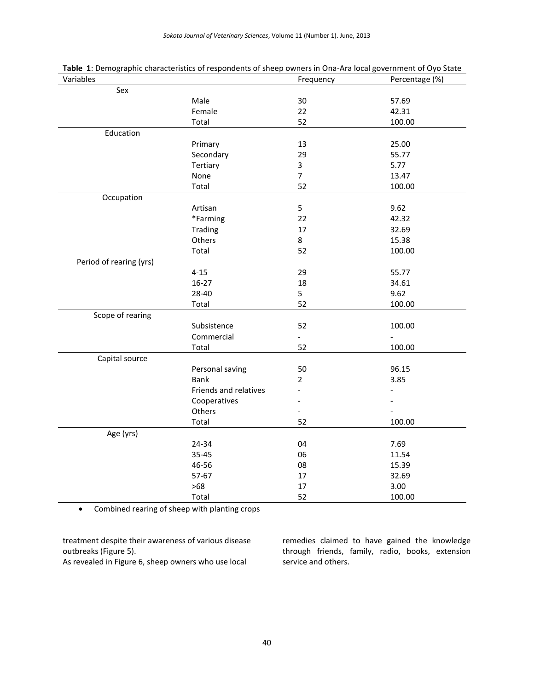*Sokoto Journal of Veterinary Sciences*, Volume 11 (Number 1). June, 2013

| Variables               |                       | Frequency                | Percentage (%) |
|-------------------------|-----------------------|--------------------------|----------------|
| Sex                     |                       |                          |                |
|                         | Male                  | 30                       | 57.69          |
|                         | Female                | 22                       | 42.31          |
|                         | Total                 | 52                       | 100.00         |
| Education               |                       |                          |                |
|                         | Primary               | 13                       | 25.00          |
|                         | Secondary             | 29                       | 55.77          |
|                         | Tertiary              | $\mathbf{3}$             | 5.77           |
|                         | None                  | $\overline{7}$           | 13.47          |
|                         | Total                 | 52                       | 100.00         |
| Occupation              |                       |                          |                |
|                         | Artisan               | 5                        | 9.62           |
|                         | *Farming              | 22                       | 42.32          |
|                         | Trading               | 17                       | 32.69          |
|                         | Others                | 8                        | 15.38          |
|                         | Total                 | 52                       | 100.00         |
| Period of rearing (yrs) |                       |                          |                |
|                         | $4 - 15$              | 29                       | 55.77          |
|                         | $16 - 27$             | 18                       | 34.61          |
|                         | 28-40                 | 5                        | 9.62           |
|                         | Total                 | 52                       | 100.00         |
| Scope of rearing        |                       |                          |                |
|                         | Subsistence           | 52                       | 100.00         |
|                         | Commercial            | $\overline{\phantom{a}}$ | $\frac{1}{2}$  |
|                         | Total                 | 52                       | 100.00         |
| Capital source          |                       |                          |                |
|                         | Personal saving       | 50                       | 96.15          |
|                         | <b>Bank</b>           | $\overline{2}$           | 3.85           |
|                         | Friends and relatives |                          |                |
|                         | Cooperatives          |                          |                |
|                         | Others                |                          |                |
|                         | Total                 | 52                       | 100.00         |
| Age (yrs)               |                       |                          |                |
|                         | 24-34                 | 04                       | 7.69           |
|                         | 35-45                 | 06                       | 11.54          |
|                         | 46-56                 | 08                       | 15.39          |
|                         | 57-67                 | 17                       | 32.69          |
|                         | $>68$                 | 17                       | 3.00           |
|                         | Total                 | 52                       | 100.00         |

**Table 1**: Demographic characteristics of respondents of sheep owners in Ona-Ara local government of Oyo State

Combined rearing of sheep with planting crops

treatment despite their awareness of various disease outbreaks (Figure 5).

As revealed in Figure 6, sheep owners who use local

remedies claimed to have gained the knowledge through friends, family, radio, books, extension service and others.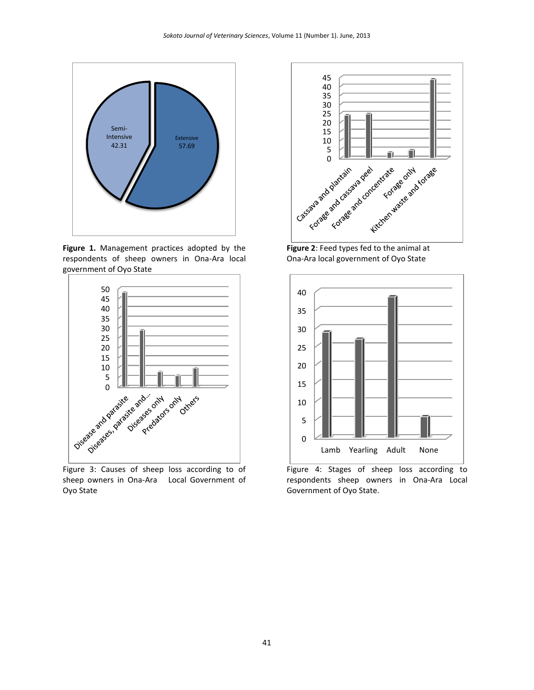

**Figure 1.** Management practices adopted by the respondents of sheep owners in Ona-Ara local government of Oyo State



Figure 3: Causes of sheep loss according to of sheep owners in Ona-Ara Local Government of Oyo State



**Figure 2**: Feed types fed to the animal at Ona-Ara local government of Oyo State



Figure 4: Stages of sheep loss according to respondents sheep owners in Ona-Ara Local Government of Oyo State.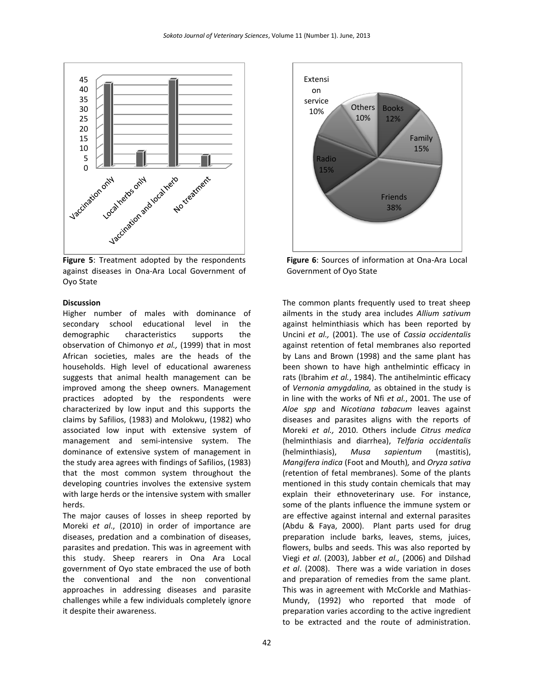

**Figure 5**: Treatment adopted by the respondents against diseases in Ona-Ara Local Government of Oyo State

#### **Discussion**

Higher number of males with dominance of secondary school educational level in the demographic characteristics supports the observation of Chimonyo *et al.,* (1999) that in most African societies, males are the heads of the households. High level of educational awareness suggests that animal health management can be improved among the sheep owners. Management practices adopted by the respondents were characterized by low input and this supports the claims by Safilios, (1983) and Molokwu, (1982) who associated low input with extensive system of management and semi-intensive system. The dominance of extensive system of management in the study area agrees with findings of Safilios, (1983) that the most common system throughout the developing countries involves the extensive system with large herds or the intensive system with smaller herds.

The major causes of losses in sheep reported by Moreki *et al*., (2010) in order of importance are diseases, predation and a combination of diseases, parasites and predation. This was in agreement with this study. Sheep rearers in Ona Ara Local government of Oyo state embraced the use of both the conventional and the non conventional approaches in addressing diseases and parasite challenges while a few individuals completely ignore it despite their awareness.



**Figure 6**: Sources of information at Ona-Ara Local Government of Oyo State

The common plants frequently used to treat sheep ailments in the study area includes *Allium sativum* against helminthiasis which has been reported by Uncini *et al.,* (2001). The use of *Cassia occidentalis* against retention of fetal membranes also reported by Lans and Brown (1998) and the same plant has been shown to have high anthelmintic efficacy in rats (Ibrahim *et al.*, 1984). The antihelmintic efficacy of *Vernonia amygdalina,* as obtained in the study is in line with the works of Nfi *et al.*, 2001. The use of *Aloe spp* and *Nicotiana tabacum* leaves against diseases and parasites aligns with the reports of Moreki *et al.,* 2010. Others include *Citrus medica* (helminthiasis and diarrhea), *Telfaria occidentalis*  (helminthiasis), *Musa sapientum* (mastitis), *Mangifera indica* (Foot and Mouth)*,* and *Oryza sativa* (retention of fetal membranes). Some of the plants mentioned in this study contain chemicals that may explain their ethnoveterinary use. For instance, some of the plants influence the immune system or are effective against internal and external parasites (Abdu & Faya, 2000). Plant parts used for drug preparation include barks, leaves, stems, juices, flowers, bulbs and seeds. This was also reported by Viegi *et al*. (2003), Jabber *et al.,* (2006) and Dilshad *et al*. (2008). There was a wide variation in doses and preparation of remedies from the same plant. This was in agreement with McCorkle and Mathias-Mundy, (1992) who reported that mode of preparation varies according to the active ingredient to be extracted and the route of administration.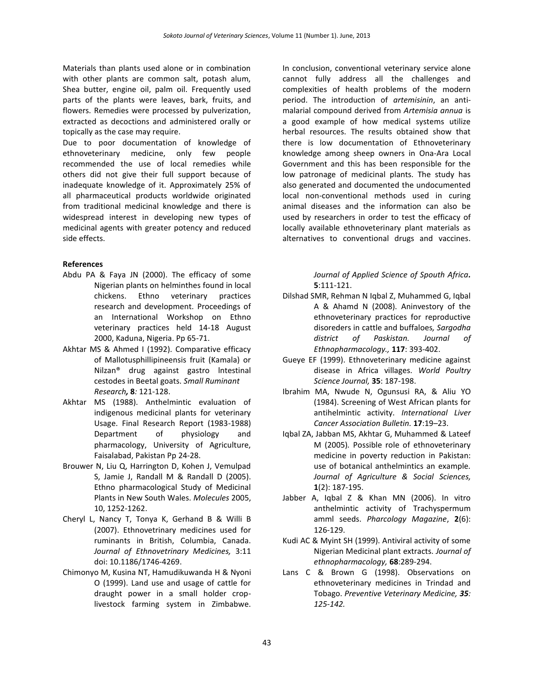Materials than plants used alone or in combination with other plants are common salt, potash alum, Shea butter, engine oil, palm oil. Frequently used parts of the plants were leaves, bark, fruits, and flowers. Remedies were processed by pulverization, extracted as decoctions and administered orally or topically as the case may require.

Due to poor documentation of knowledge of ethnoveterinary medicine, only few people recommended the use of local remedies while others did not give their full support because of inadequate knowledge of it. Approximately 25% of all pharmaceutical products worldwide originated from traditional medicinal knowledge and there is widespread interest in developing new types of medicinal agents with greater potency and reduced side effects.

## **References**

- Abdu PA & Faya JN (2000). The efficacy of some Nigerian plants on helminthes found in local chickens. Ethno veterinary practices research and development. Proceedings of an International Workshop on Ethno veterinary practices held 14-18 August 2000, Kaduna, Nigeria. Pp 65-71.
- Akhtar MS & Ahmed I (1992). Comparative efficacy of Mallotusphillipineensis fruit (Kamala) or Nilzan® drug against gastro lntestinal cestodes in Beetal goats. *Small Ruminant Research,* **8***:* 121-128.
- Akhtar MS (1988). Anthelmintic evaluation of indigenous medicinal plants for veterinary Usage. Final Research Report (1983-1988) Department of physiology and pharmacology, University of Agriculture, Faisalabad, Pakistan Pp 24-28.
- Brouwer N, Liu Q, Harrington D, Kohen J, Vemulpad S, Jamie J, Randall M & Randall D (2005). Ethno pharmacological Study of Medicinal Plants in New South Wales. *Molecules* 2005, 10, 1252-1262.
- Cheryl L, Nancy T, Tonya K, Gerhand B & Willi B (2007). Ethnovetrinary medicines used for ruminants in British, Columbia, Canada. *Journal of Ethnovetrinary Medicines,* 3:11 doi: 10.1186/1746-4269.
- Chimonyo M, Kusina NT, Hamudikuwanda H & Nyoni O (1999). Land use and usage of cattle for draught power in a small holder croplivestock farming system in Zimbabwe.

In conclusion, conventional veterinary service alone cannot fully address all the challenges and complexities of health problems of the modern period. The introduction of *artemisinin*, an antimalarial compound derived from *Artemisia annua* is a good example of how medical systems utilize herbal resources. The results obtained show that there is low documentation of Ethnoveterinary knowledge among sheep owners in Ona-Ara Local Government and this has been responsible for the low patronage of medicinal plants. The study has also generated and documented the undocumented local non-conventional methods used in curing animal diseases and the information can also be used by researchers in order to test the efficacy of locally available ethnoveterinary plant materials as alternatives to conventional drugs and vaccines.

> *Journal of Applied Science of Spouth Africa.*  **5**:111-121.

- Dilshad SMR, Rehman N Iqbal Z, Muhammed G, Iqbal A & Ahamd N (2008). Aninvestory of the ethnoveterinary practices for reproductive disoreders in cattle and buffaloes*, Sargodha district of Paskistan. Journal of Ethnopharmacology.,* **117**: 393-402.
- Gueye EF (1999). Ethnoveterinary medicine against disease in Africa villages. *World Poultry Science Journal,* **35**: 187-198.
- Ibrahim MA, Nwude N, Ogunsusi RA, & Aliu YO (1984). Screening of West African plants for antihelmintic activity. *International Liver Cancer Association Bulletin.* **17**:19–23.
- Iqbal ZA, Jabban MS, Akhtar G, Muhammed & Lateef M (2005)*.* Possible role of ethnoveterinary medicine in poverty reduction in Pakistan: use of botanical anthelmintics an example*. Journal of Agriculture & Social Sciences,*  **1**(2): 187-195.
- Jabber A, Iqbal Z & Khan MN (2006). In vitro anthelmintic activity of Trachyspermum amml seeds. *Pharcology Magazine*, **2**(6): 126-129.
- Kudi AC & Myint SH (1999). Antiviral activity of some Nigerian Medicinal plant extracts. *Journal of ethnopharmacology,* **68**:289-294.
- Lans C & Brown G (1998). Observations on ethnoveterinary medicines in Trindad and Tobago. *Preventive Veterinary Medicine, 35: 125-142.*